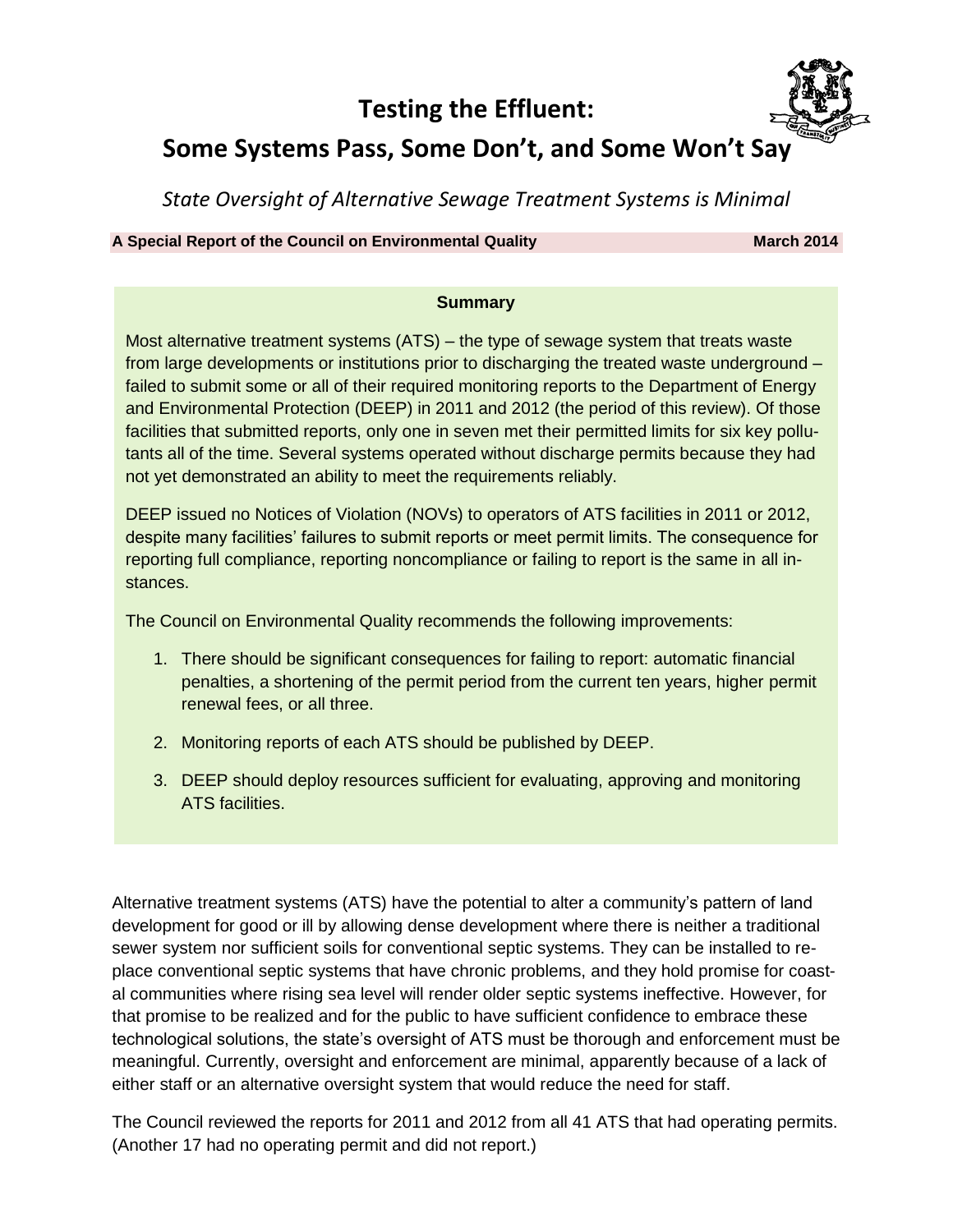## **Testing the Effluent:**



# **Some Systems Pass, Some Don't, and Some Won't Say**

*State Oversight of Alternative Sewage Treatment Systems is Minimal*

**A Special Report of the Council on Environmental Quality March March** 2014

#### **Summary**

Most alternative treatment systems (ATS) – the type of sewage system that treats waste from large developments or institutions prior to discharging the treated waste underground – failed to submit some or all of their required monitoring reports to the Department of Energy and Environmental Protection (DEEP) in 2011 and 2012 (the period of this review). Of those facilities that submitted reports, only one in seven met their permitted limits for six key pollutants all of the time. Several systems operated without discharge permits because they had not yet demonstrated an ability to meet the requirements reliably.

DEEP issued no Notices of Violation (NOVs) to operators of ATS facilities in 2011 or 2012, despite many facilities' failures to submit reports or meet permit limits. The consequence for reporting full compliance, reporting noncompliance or failing to report is the same in all instances.

The Council on Environmental Quality recommends the following improvements:

- 1. There should be significant consequences for failing to report: automatic financial penalties, a shortening of the permit period from the current ten years, higher permit renewal fees, or all three.
- 2. Monitoring reports of each ATS should be published by DEEP.
- 3. DEEP should deploy resources sufficient for evaluating, approving and monitoring ATS facilities.

Alternative treatment systems (ATS) have the potential to alter a community's pattern of land development for good or ill by allowing dense development where there is neither a traditional sewer system nor sufficient soils for conventional septic systems. They can be installed to replace conventional septic systems that have chronic problems, and they hold promise for coastal communities where rising sea level will render older septic systems ineffective. However, for that promise to be realized and for the public to have sufficient confidence to embrace these technological solutions, the state's oversight of ATS must be thorough and enforcement must be meaningful. Currently, oversight and enforcement are minimal, apparently because of a lack of either staff or an alternative oversight system that would reduce the need for staff.

The Council reviewed the reports for 2011 and 2012 from all 41 ATS that had operating permits. (Another 17 had no operating permit and did not report.)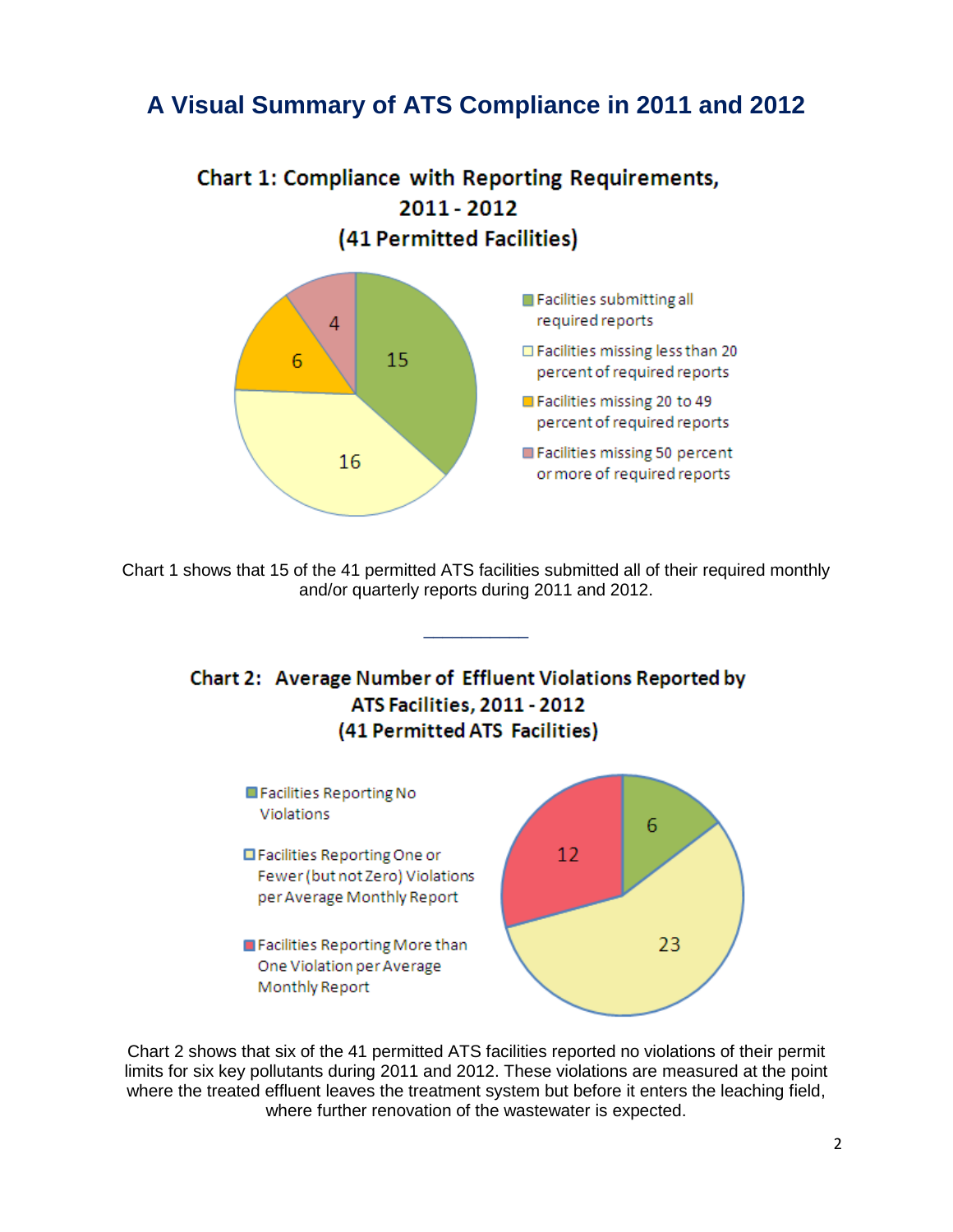# **A Visual Summary of ATS Compliance in 2011 and 2012**





Chart 1 shows that 15 of the 41 permitted ATS facilities submitted all of their required monthly and/or quarterly reports during 2011 and 2012.

\_\_\_\_\_\_\_\_\_\_\_





Chart 2 shows that six of the 41 permitted ATS facilities reported no violations of their permit limits for six key pollutants during 2011 and 2012. These violations are measured at the point where the treated effluent leaves the treatment system but before it enters the leaching field, where further renovation of the wastewater is expected.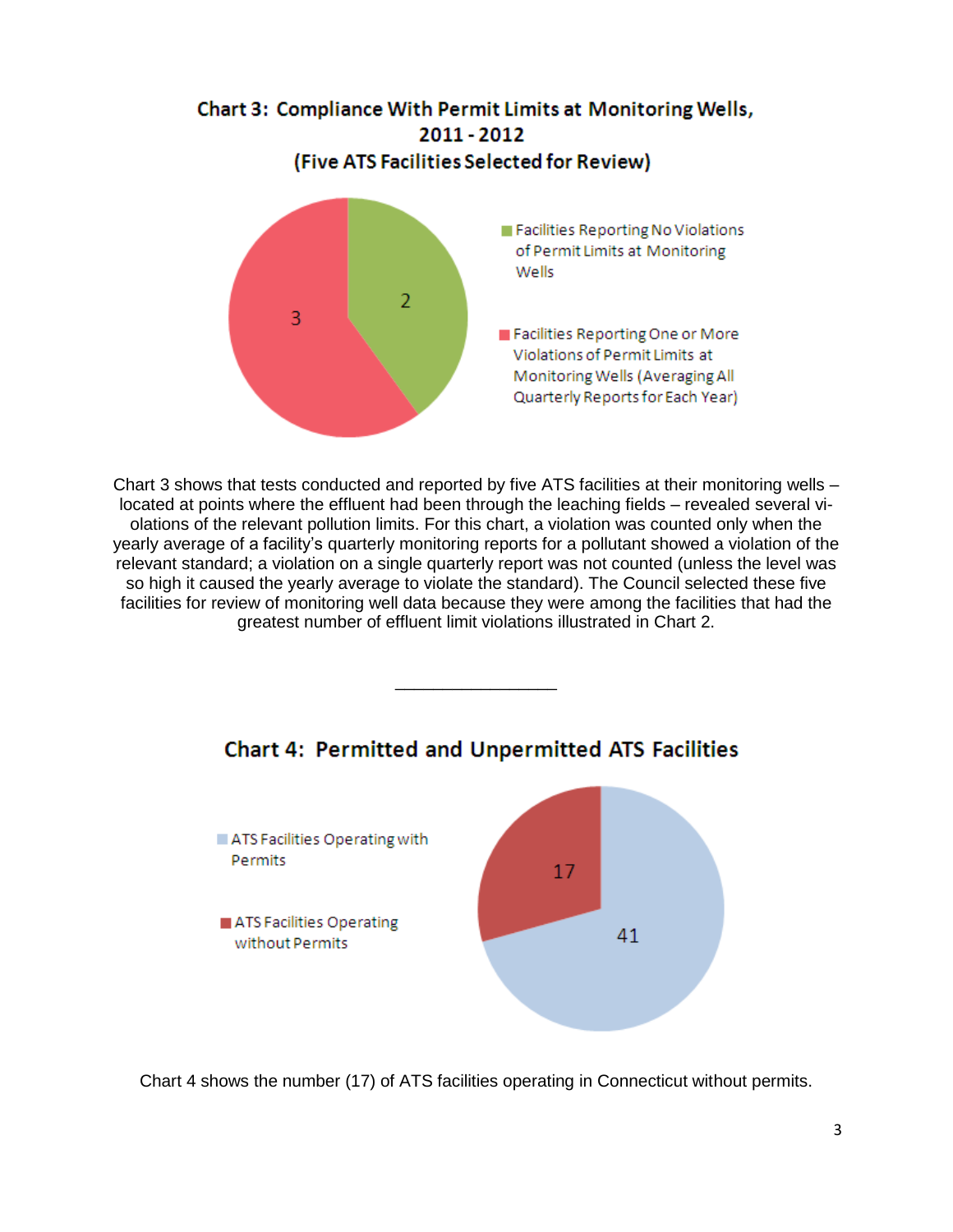

Chart 3 shows that tests conducted and reported by five ATS facilities at their monitoring wells – located at points where the effluent had been through the leaching fields – revealed several violations of the relevant pollution limits. For this chart, a violation was counted only when the yearly average of a facility's quarterly monitoring reports for a pollutant showed a violation of the relevant standard; a violation on a single quarterly report was not counted (unless the level was so high it caused the yearly average to violate the standard). The Council selected these five facilities for review of monitoring well data because they were among the facilities that had the greatest number of effluent limit violations illustrated in Chart 2.



## **Chart 4: Permitted and Unpermitted ATS Facilities**

\_\_\_\_\_\_\_\_\_\_\_\_\_\_\_\_\_

Chart 4 shows the number (17) of ATS facilities operating in Connecticut without permits.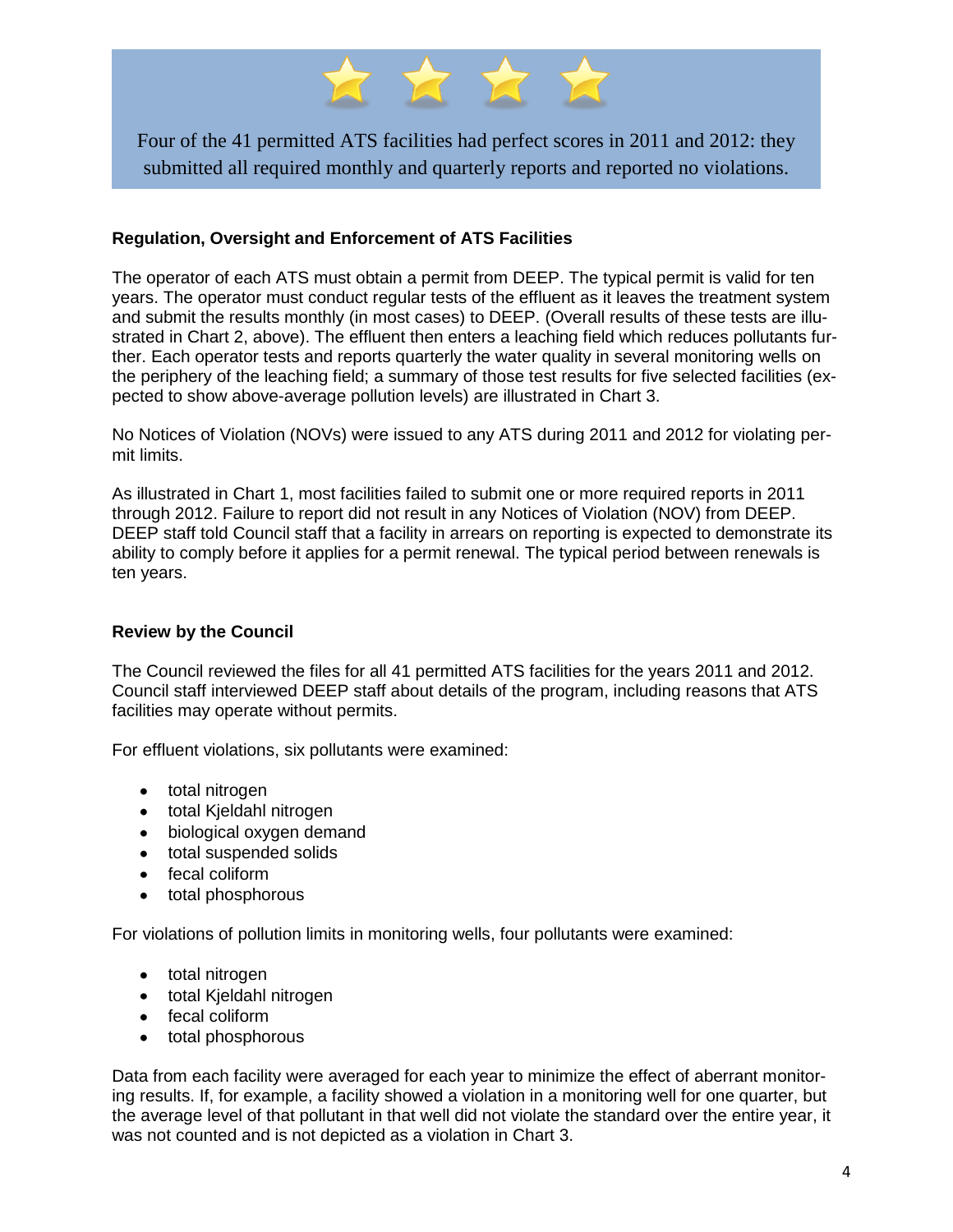

Four of the 41 permitted ATS facilities had perfect scores in 2011 and 2012: they submitted all required monthly and quarterly reports and reported no violations.

#### **Regulation, Oversight and Enforcement of ATS Facilities**

The operator of each ATS must obtain a permit from DEEP. The typical permit is valid for ten years. The operator must conduct regular tests of the effluent as it leaves the treatment system and submit the results monthly (in most cases) to DEEP. (Overall results of these tests are illustrated in Chart 2, above). The effluent then enters a leaching field which reduces pollutants further. Each operator tests and reports quarterly the water quality in several monitoring wells on the periphery of the leaching field; a summary of those test results for five selected facilities (expected to show above-average pollution levels) are illustrated in Chart 3.

No Notices of Violation (NOVs) were issued to any ATS during 2011 and 2012 for violating permit limits.

As illustrated in Chart 1, most facilities failed to submit one or more required reports in 2011 through 2012. Failure to report did not result in any Notices of Violation (NOV) from DEEP. DEEP staff told Council staff that a facility in arrears on reporting is expected to demonstrate its ability to comply before it applies for a permit renewal. The typical period between renewals is ten years.

#### **Review by the Council**

The Council reviewed the files for all 41 permitted ATS facilities for the years 2011 and 2012. Council staff interviewed DEEP staff about details of the program, including reasons that ATS facilities may operate without permits.

For effluent violations, six pollutants were examined:

- total nitrogen
- total Kjeldahl nitrogen
- biological oxygen demand
- total suspended solids
- fecal coliform
- total phosphorous

For violations of pollution limits in monitoring wells, four pollutants were examined:

- total nitrogen
- total Kjeldahl nitrogen
- fecal coliform
- total phosphorous

Data from each facility were averaged for each year to minimize the effect of aberrant monitoring results. If, for example, a facility showed a violation in a monitoring well for one quarter, but the average level of that pollutant in that well did not violate the standard over the entire year, it was not counted and is not depicted as a violation in Chart 3.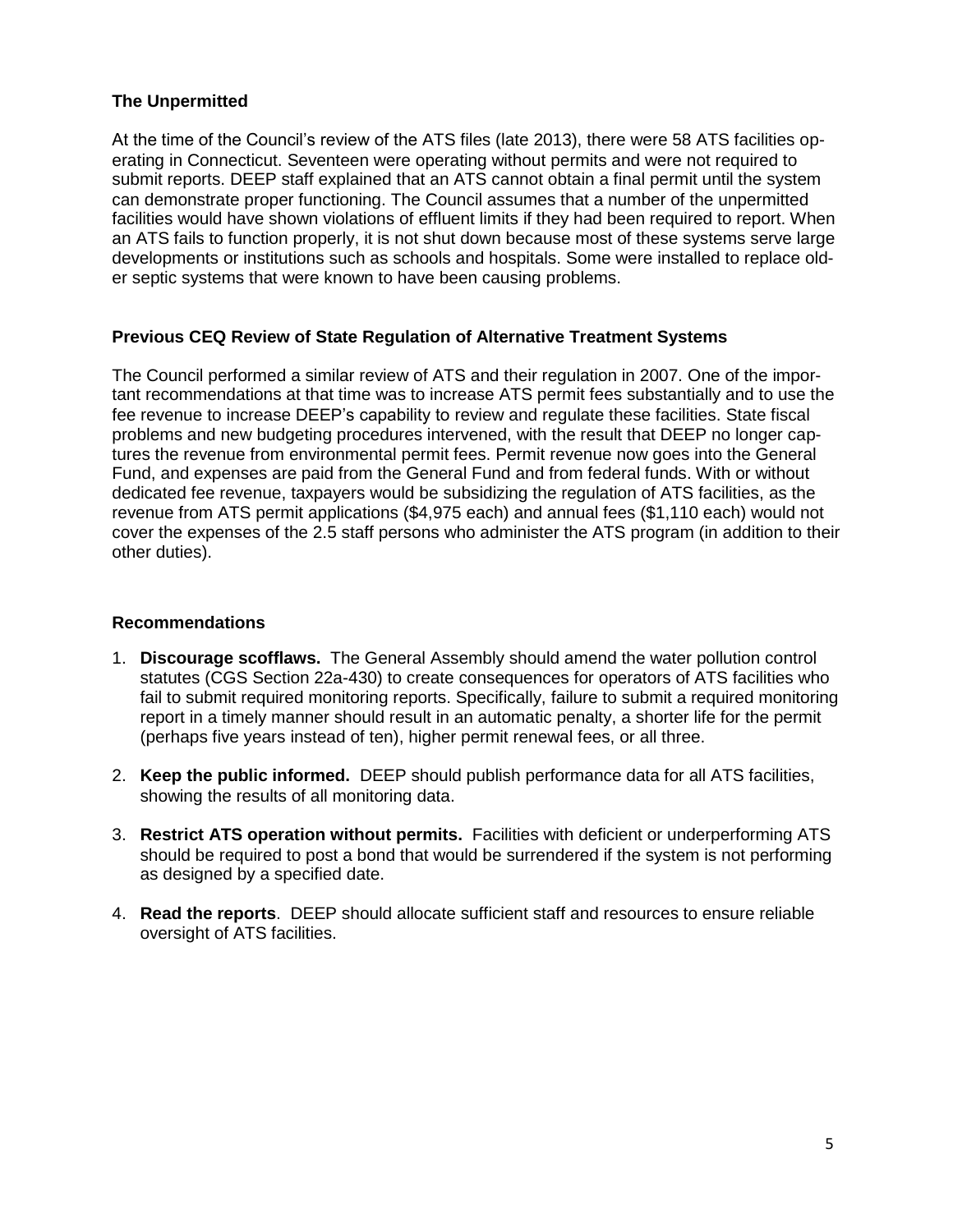#### **The Unpermitted**

At the time of the Council's review of the ATS files (late 2013), there were 58 ATS facilities operating in Connecticut. Seventeen were operating without permits and were not required to submit reports. DEEP staff explained that an ATS cannot obtain a final permit until the system can demonstrate proper functioning. The Council assumes that a number of the unpermitted facilities would have shown violations of effluent limits if they had been required to report. When an ATS fails to function properly, it is not shut down because most of these systems serve large developments or institutions such as schools and hospitals. Some were installed to replace older septic systems that were known to have been causing problems.

#### **Previous CEQ Review of State Regulation of Alternative Treatment Systems**

The Council performed a similar review of ATS and their regulation in 2007. One of the important recommendations at that time was to increase ATS permit fees substantially and to use the fee revenue to increase DEEP's capability to review and regulate these facilities. State fiscal problems and new budgeting procedures intervened, with the result that DEEP no longer captures the revenue from environmental permit fees. Permit revenue now goes into the General Fund, and expenses are paid from the General Fund and from federal funds. With or without dedicated fee revenue, taxpayers would be subsidizing the regulation of ATS facilities, as the revenue from ATS permit applications (\$4,975 each) and annual fees (\$1,110 each) would not cover the expenses of the 2.5 staff persons who administer the ATS program (in addition to their other duties).

#### **Recommendations**

- 1. **Discourage scofflaws.** The General Assembly should amend the water pollution control statutes (CGS Section 22a-430) to create consequences for operators of ATS facilities who fail to submit required monitoring reports. Specifically, failure to submit a required monitoring report in a timely manner should result in an automatic penalty, a shorter life for the permit (perhaps five years instead of ten), higher permit renewal fees, or all three.
- 2. **Keep the public informed.** DEEP should publish performance data for all ATS facilities, showing the results of all monitoring data.
- 3. **Restrict ATS operation without permits.** Facilities with deficient or underperforming ATS should be required to post a bond that would be surrendered if the system is not performing as designed by a specified date.
- 4. **Read the reports**. DEEP should allocate sufficient staff and resources to ensure reliable oversight of ATS facilities.